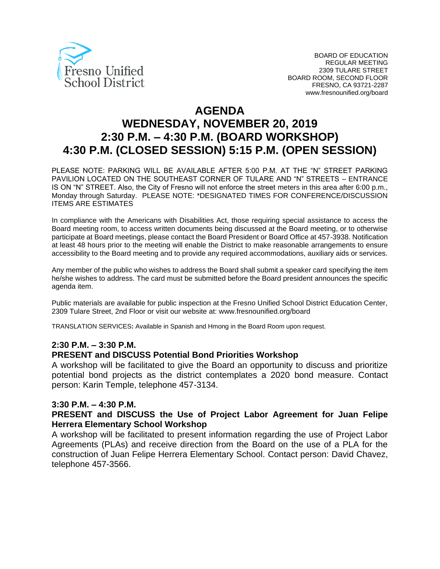

# **AGENDA WEDNESDAY, NOVEMBER 20, 2019 2:30 P.M. – 4:30 P.M. (BOARD WORKSHOP) 4:30 P.M. (CLOSED SESSION) 5:15 P.M. (OPEN SESSION)**

PLEASE NOTE: PARKING WILL BE AVAILABLE AFTER 5:00 P.M. AT THE "N" STREET PARKING PAVILION LOCATED ON THE SOUTHEAST CORNER OF TULARE AND "N" STREETS – ENTRANCE IS ON "N" STREET. Also, the City of Fresno will not enforce the street meters in this area after 6:00 p.m., Monday through Saturday. PLEASE NOTE: \*DESIGNATED TIMES FOR CONFERENCE/DISCUSSION ITEMS ARE ESTIMATES

In compliance with the Americans with Disabilities Act, those requiring special assistance to access the Board meeting room, to access written documents being discussed at the Board meeting, or to otherwise participate at Board meetings, please contact the Board President or Board Office at 457-3938. Notification at least 48 hours prior to the meeting will enable the District to make reasonable arrangements to ensure accessibility to the Board meeting and to provide any required accommodations, auxiliary aids or services.

Any member of the public who wishes to address the Board shall submit a speaker card specifying the item he/she wishes to address. The card must be submitted before the Board president announces the specific agenda item.

Public materials are available for public inspection at the Fresno Unified School District Education Center, 2309 Tulare Street, 2nd Floor or visit our website at: www.fresnounified.org/board

TRANSLATION SERVICES**:** Available in Spanish and Hmong in the Board Room upon request.

#### **2:30 P.M. – 3:30 P.M.**

#### **PRESENT and DISCUSS Potential Bond Priorities Workshop**

A workshop will be facilitated to give the Board an opportunity to discuss and prioritize potential bond projects as the district contemplates a 2020 bond measure. Contact person: Karin Temple, telephone 457-3134.

#### **3:30 P.M. – 4:30 P.M.**

#### **PRESENT and DISCUSS the Use of Project Labor Agreement for Juan Felipe Herrera Elementary School Workshop**

A workshop will be facilitated to present information regarding the use of Project Labor Agreements (PLAs) and receive direction from the Board on the use of a PLA for the construction of Juan Felipe Herrera Elementary School. Contact person: David Chavez, telephone 457-3566.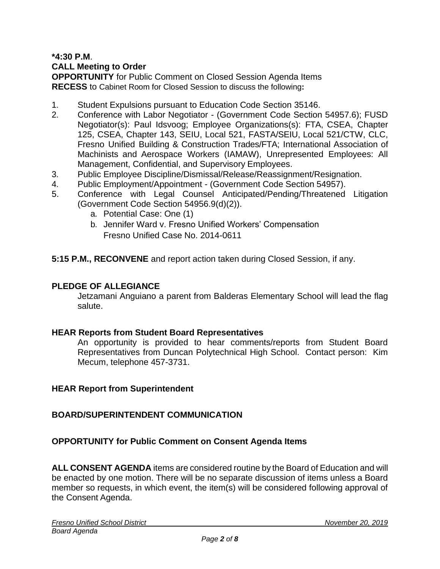# **\*4:30 P.M**. **CALL Meeting to Order**

**OPPORTUNITY** for Public Comment on Closed Session Agenda Items **RECESS** to Cabinet Room for Closed Session to discuss the following**:**

- 1. Student Expulsions pursuant to Education Code Section 35146.
- 2. Conference with Labor Negotiator (Government Code Section 54957.6); FUSD Negotiator(s): Paul Idsvoog; Employee Organizations(s): FTA, CSEA, Chapter 125, CSEA, Chapter 143, SEIU, Local 521, FASTA/SEIU, Local 521/CTW, CLC, Fresno Unified Building & Construction Trades/FTA; International Association of Machinists and Aerospace Workers (IAMAW), Unrepresented Employees: All Management, Confidential, and Supervisory Employees.
- 3. Public Employee Discipline/Dismissal/Release/Reassignment/Resignation.
- 4. Public Employment/Appointment (Government Code Section 54957).
- 5. Conference with Legal Counsel Anticipated/Pending/Threatened Litigation (Government Code Section 54956.9(d)(2)).
	- a. Potential Case: One (1)
	- b. Jennifer Ward v. Fresno Unified Workers' Compensation Fresno Unified Case No. 2014-0611

**5:15 P.M., RECONVENE** and report action taken during Closed Session, if any.

#### **PLEDGE OF ALLEGIANCE**

Jetzamani Anguiano a parent from Balderas Elementary School will lead the flag salute.

#### **HEAR Reports from Student Board Representatives**

An opportunity is provided to hear comments/reports from Student Board Representatives from Duncan Polytechnical High School. Contact person: Kim Mecum, telephone 457-3731.

#### **HEAR Report from Superintendent**

#### **BOARD/SUPERINTENDENT COMMUNICATION**

#### **OPPORTUNITY for Public Comment on Consent Agenda Items**

**ALL CONSENT AGENDA** items are considered routine by the Board of Education and will be enacted by one motion. There will be no separate discussion of items unless a Board member so requests, in which event, the item(s) will be considered following approval of the Consent Agenda.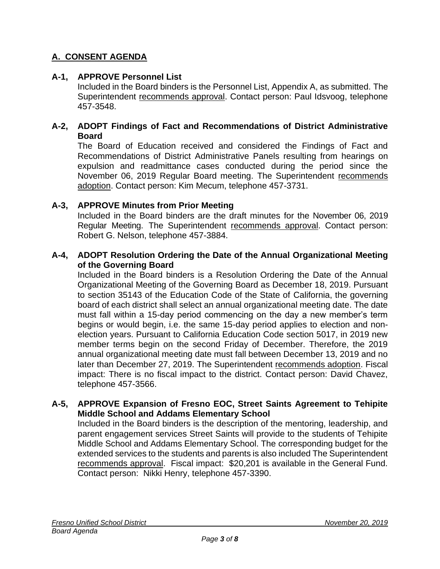# **A. CONSENT AGENDA**

### **A-1, APPROVE Personnel List**

Included in the Board binders is the Personnel List, Appendix A, as submitted. The Superintendent recommends approval. Contact person: Paul Idsvoog, telephone 457-3548.

#### **A-2, ADOPT Findings of Fact and Recommendations of District Administrative Board**

The Board of Education received and considered the Findings of Fact and Recommendations of District Administrative Panels resulting from hearings on expulsion and readmittance cases conducted during the period since the November 06, 2019 Regular Board meeting. The Superintendent recommends adoption. Contact person: Kim Mecum, telephone 457-3731.

#### **A-3, APPROVE Minutes from Prior Meeting**

Included in the Board binders are the draft minutes for the November 06, 2019 Regular Meeting. The Superintendent recommends approval. Contact person: Robert G. Nelson, telephone 457-3884.

#### **A-4, ADOPT Resolution Ordering the Date of the Annual Organizational Meeting of the Governing Board**

Included in the Board binders is a Resolution Ordering the Date of the Annual Organizational Meeting of the Governing Board as December 18, 2019. Pursuant to section 35143 of the Education Code of the State of California, the governing board of each district shall select an annual organizational meeting date. The date must fall within a 15-day period commencing on the day a new member's term begins or would begin, i.e. the same 15-day period applies to election and nonelection years. Pursuant to California Education Code section 5017, in 2019 new member terms begin on the second Friday of December. Therefore, the 2019 annual organizational meeting date must fall between December 13, 2019 and no later than December 27, 2019. The Superintendent recommends adoption. Fiscal impact: There is no fiscal impact to the district. Contact person: David Chavez, telephone 457-3566.

#### **A-5, APPROVE Expansion of Fresno EOC, Street Saints Agreement to Tehipite Middle School and Addams Elementary School**

Included in the Board binders is the description of the mentoring, leadership, and parent engagement services Street Saints will provide to the students of Tehipite Middle School and Addams Elementary School. The corresponding budget for the extended services to the students and parents is also included The Superintendent recommends approval. Fiscal impact: \$20,201 is available in the General Fund. Contact person: Nikki Henry, telephone 457-3390.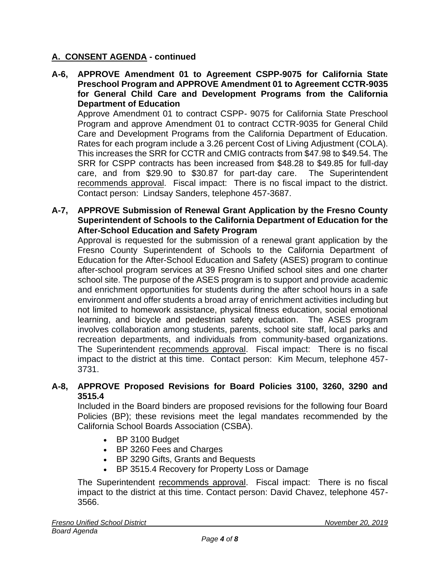### **A. CONSENT AGENDA - continued**

**A-6, APPROVE Amendment 01 to Agreement CSPP-9075 for California State Preschool Program and APPROVE Amendment 01 to Agreement CCTR-9035 for General Child Care and Development Programs from the California Department of Education**

Approve Amendment 01 to contract CSPP- 9075 for California State Preschool Program and approve Amendment 01 to contract CCTR-9035 for General Child Care and Development Programs from the California Department of Education. Rates for each program include a 3.26 percent Cost of Living Adjustment (COLA). This increases the SRR for CCTR and CMIG contracts from \$47.98 to \$49.54. The SRR for CSPP contracts has been increased from \$48.28 to \$49.85 for full-day care, and from \$29.90 to \$30.87 for part-day care. The Superintendent recommends approval. Fiscal impact: There is no fiscal impact to the district. Contact person: Lindsay Sanders, telephone 457-3687.

**A-7, APPROVE Submission of Renewal Grant Application by the Fresno County Superintendent of Schools to the California Department of Education for the After-School Education and Safety Program**

Approval is requested for the submission of a renewal grant application by the Fresno County Superintendent of Schools to the California Department of Education for the After-School Education and Safety (ASES) program to continue after-school program services at 39 Fresno Unified school sites and one charter school site. The purpose of the ASES program is to support and provide academic and enrichment opportunities for students during the after school hours in a safe environment and offer students a broad array of enrichment activities including but not limited to homework assistance, physical fitness education, social emotional learning, and bicycle and pedestrian safety education. The ASES program involves collaboration among students, parents, school site staff, local parks and recreation departments, and individuals from community-based organizations. The Superintendent recommends approval. Fiscal impact: There is no fiscal impact to the district at this time. Contact person: Kim Mecum, telephone 457- 3731.

### **A-8, APPROVE Proposed Revisions for Board Policies 3100, 3260, 3290 and 3515.4**

Included in the Board binders are proposed revisions for the following four Board Policies (BP); these revisions meet the legal mandates recommended by the California School Boards Association (CSBA).

- BP 3100 Budget
- BP 3260 Fees and Charges
- BP 3290 Gifts, Grants and Bequests
- BP 3515.4 Recovery for Property Loss or Damage

The Superintendent recommends approval. Fiscal impact: There is no fiscal impact to the district at this time. Contact person: David Chavez, telephone 457- 3566.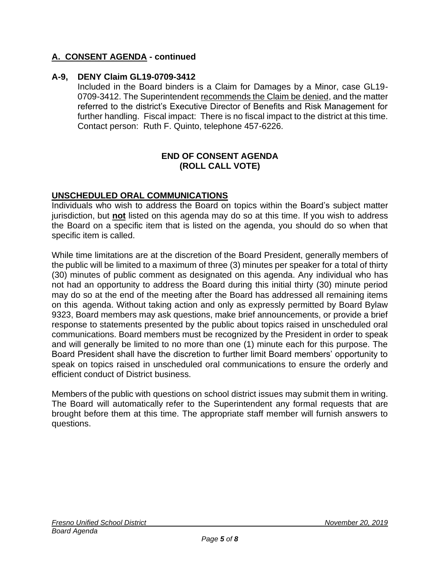### **A. CONSENT AGENDA - continued**

#### **A-9, DENY Claim GL19-0709-3412**

Included in the Board binders is a Claim for Damages by a Minor, case GL19- 0709-3412. The Superintendent recommends the Claim be denied, and the matter referred to the district's Executive Director of Benefits and Risk Management for further handling. Fiscal impact: There is no fiscal impact to the district at this time. Contact person: Ruth F. Quinto, telephone 457-6226.

#### **END OF CONSENT AGENDA (ROLL CALL VOTE)**

#### **UNSCHEDULED ORAL COMMUNICATIONS**

Individuals who wish to address the Board on topics within the Board's subject matter jurisdiction, but **not** listed on this agenda may do so at this time. If you wish to address the Board on a specific item that is listed on the agenda, you should do so when that specific item is called.

While time limitations are at the discretion of the Board President, generally members of the public will be limited to a maximum of three (3) minutes per speaker for a total of thirty (30) minutes of public comment as designated on this agenda. Any individual who has not had an opportunity to address the Board during this initial thirty (30) minute period may do so at the end of the meeting after the Board has addressed all remaining items on this agenda. Without taking action and only as expressly permitted by Board Bylaw 9323, Board members may ask questions, make brief announcements, or provide a brief response to statements presented by the public about topics raised in unscheduled oral communications. Board members must be recognized by the President in order to speak and will generally be limited to no more than one (1) minute each for this purpose. The Board President shall have the discretion to further limit Board members' opportunity to speak on topics raised in unscheduled oral communications to ensure the orderly and efficient conduct of District business.

Members of the public with questions on school district issues may submit them in writing. The Board will automatically refer to the Superintendent any formal requests that are brought before them at this time. The appropriate staff member will furnish answers to questions.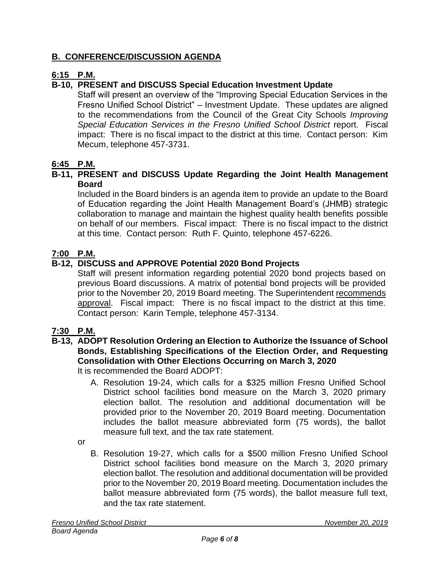### **B. CONFERENCE/DISCUSSION AGENDA**

### **6:15 P.M.**

# **B-10, PRESENT and DISCUSS Special Education Investment Update**

Staff will present an overview of the "Improving Special Education Services in the Fresno Unified School District" – Investment Update. These updates are aligned to the recommendations from the Council of the Great City Schools *Improving Special Education Services in the Fresno Unified School District* report. Fiscal impact: There is no fiscal impact to the district at this time. Contact person: Kim Mecum, telephone 457-3731.

### **6:45 P.M.**

#### **B-11, PRESENT and DISCUSS Update Regarding the Joint Health Management Board**

Included in the Board binders is an agenda item to provide an update to the Board of Education regarding the Joint Health Management Board's (JHMB) strategic collaboration to manage and maintain the highest quality health benefits possible on behalf of our members. Fiscal impact: There is no fiscal impact to the district at this time. Contact person: Ruth F. Quinto, telephone 457-6226.

### **7:00 P.M.**

### **B-12, DISCUSS and APPROVE Potential 2020 Bond Projects**

Staff will present information regarding potential 2020 bond projects based on previous Board discussions. A matrix of potential bond projects will be provided prior to the November 20, 2019 Board meeting. The Superintendent recommends approval. Fiscal impact: There is no fiscal impact to the district at this time. Contact person: Karin Temple, telephone 457-3134.

### **7:30 P.M.**

### **B-13, ADOPT Resolution Ordering an Election to Authorize the Issuance of School Bonds, Establishing Specifications of the Election Order, and Requesting Consolidation with Other Elections Occurring on March 3, 2020**

It is recommended the Board ADOPT:

A. Resolution 19-24, which calls for a \$325 million Fresno Unified School District school facilities bond measure on the March 3, 2020 primary election ballot. The resolution and additional documentation will be provided prior to the November 20, 2019 Board meeting. Documentation includes the ballot measure abbreviated form (75 words), the ballot measure full text, and the tax rate statement.

or

B. Resolution 19-27, which calls for a \$500 million Fresno Unified School District school facilities bond measure on the March 3, 2020 primary election ballot. The resolution and additional documentation will be provided prior to the November 20, 2019 Board meeting. Documentation includes the ballot measure abbreviated form (75 words), the ballot measure full text, and the tax rate statement.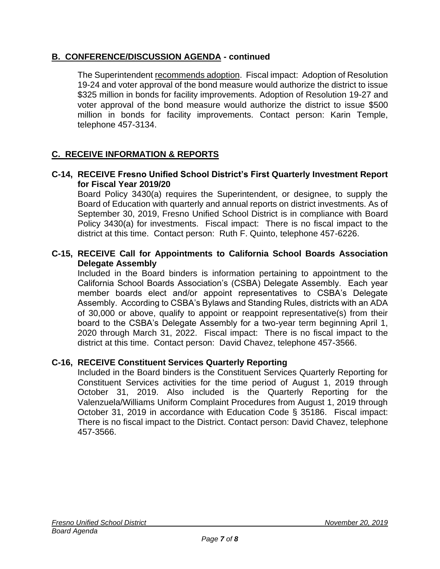### **B. CONFERENCE/DISCUSSION AGENDA - continued**

The Superintendent recommends adoption. Fiscal impact: Adoption of Resolution 19-24 and voter approval of the bond measure would authorize the district to issue \$325 million in bonds for facility improvements. Adoption of Resolution 19-27 and voter approval of the bond measure would authorize the district to issue \$500 million in bonds for facility improvements. Contact person: Karin Temple, telephone 457-3134.

# **C. RECEIVE INFORMATION & REPORTS**

#### **C-14, RECEIVE Fresno Unified School District's First Quarterly Investment Report for Fiscal Year 2019/20**

Board Policy 3430(a) requires the Superintendent, or designee, to supply the Board of Education with quarterly and annual reports on district investments. As of September 30, 2019, Fresno Unified School District is in compliance with Board Policy 3430(a) for investments. Fiscal impact: There is no fiscal impact to the district at this time. Contact person: Ruth F. Quinto, telephone 457-6226.

#### **C-15, RECEIVE Call for Appointments to California School Boards Association Delegate Assembly**

Included in the Board binders is information pertaining to appointment to the California School Boards Association's (CSBA) Delegate Assembly. Each year member boards elect and/or appoint representatives to CSBA's Delegate Assembly. According to CSBA's Bylaws and Standing Rules, districts with an ADA of 30,000 or above, qualify to appoint or reappoint representative(s) from their board to the CSBA's Delegate Assembly for a two-year term beginning April 1, 2020 through March 31, 2022. Fiscal impact: There is no fiscal impact to the district at this time. Contact person: David Chavez, telephone 457-3566.

### **C-16, RECEIVE Constituent Services Quarterly Reporting**

Included in the Board binders is the Constituent Services Quarterly Reporting for Constituent Services activities for the time period of August 1, 2019 through October 31, 2019. Also included is the Quarterly Reporting for the Valenzuela/Williams Uniform Complaint Procedures from August 1, 2019 through October 31, 2019 in accordance with Education Code § 35186. Fiscal impact: There is no fiscal impact to the District. Contact person: David Chavez, telephone 457-3566.